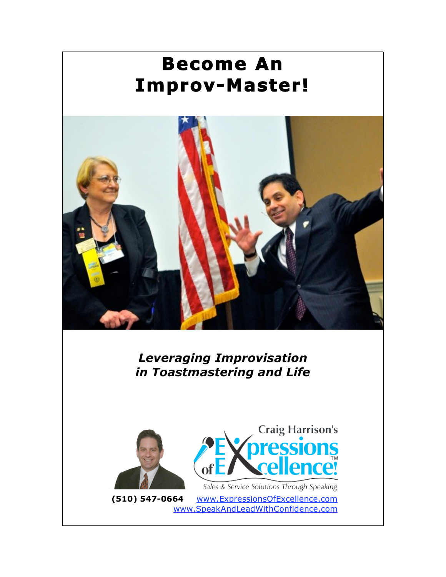# **Become An Improv-Master!**



*Leveraging Improvisation in Toastmastering and Life*





Sales & Service Solutions Through Speaking **(510) 547-0664** www.ExpressionsOfExcellence.com www.SpeakAndLeadWithConfidence.com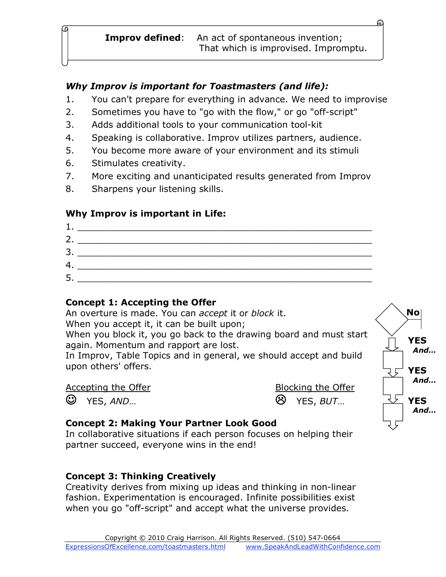#### *Why Improv is important for Toastmasters (and life):*

- 1. You can't prepare for everything in advance. We need to improvise
- 2. Sometimes you have to "go with the flow," or go "off-script"
- 3. Adds additional tools to your communication tool-kit
- 4. Speaking is collaborative. Improv utilizes partners, audience.
- 5. You become more aware of your environment and its stimuli
- 6. Stimulates creativity.
- 7. More exciting and unanticipated results generated from Improv
- 8. Sharpens your listening skills.

## **Why Improv is important in Life:**



### **Concept 1: Accepting the Offer**

An overture is made. You can *accept* it or *block* it. When you accept it, it can be built upon;

When you block it, you go back to the drawing board and must start again. Momentum and rapport are lost.

In Improv, Table Topics and in general, we should accept and build upon others' offers.

#### Accepting the Offer **Blocking** the Offer

YES, *AND*… YES, *BUT*…



### **Concept 2: Making Your Partner Look Good**

In collaborative situations if each person focuses on helping their partner succeed, everyone wins in the end!

## **Concept 3: Thinking Creatively**

Creativity derives from mixing up ideas and thinking in non-linear fashion. Experimentation is encouraged. Infinite possibilities exist when you go "off-script" and accept what the universe provides.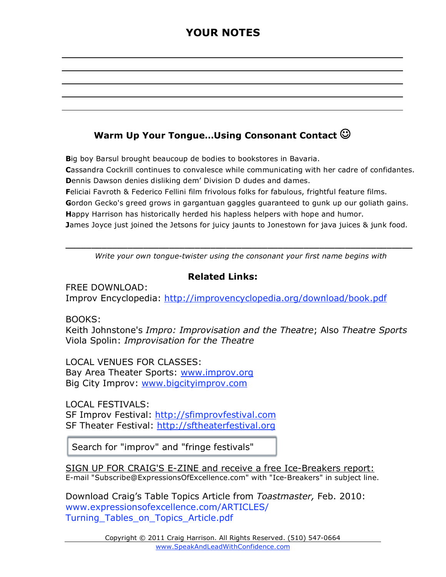## **YOUR NOTES**

## **Warm Up Your Tongue…Using Consonant Contact**

**B**ig boy Barsul brought beaucoup de bodies to bookstores in Bavaria. **C**assandra Cockrill continues to convalesce while communicating with her cadre of confidantes. **D**ennis Dawson denies disliking dem' Division D dudes and dames. **F**eliciai Favroth & Federico Fellini film frivolous folks for fabulous, frightful feature films.

**G**ordon Gecko's greed grows in gargantuan gaggles guaranteed to gunk up our goliath gains. **H**appy Harrison has historically herded his hapless helpers with hope and humor.

**J**ames Joyce just joined the Jetsons for juicy jaunts to Jonestown for java juices & junk food.

**\_\_\_\_\_\_\_\_\_\_\_\_\_\_\_\_\_\_\_\_\_\_\_\_\_\_\_\_\_\_\_\_\_\_\_\_\_\_\_\_\_\_\_\_\_\_\_\_\_\_\_\_\_\_\_\_\_\_\_\_\_\_\_\_\_\_\_** *Write your own tongue-twister using the consonant your first name begins with*

#### **Related Links:**

FREE DOWNLOAD: Improv Encyclopedia: http://improvencyclopedia.org/download/book.pdf

BOOKS:

Keith Johnstone's *Impro: Improvisation and the Theatre*; Also *Theatre Sports* Viola Spolin: *Improvisation for the Theatre*

LOCAL VENUES FOR CLASSES: Bay Area Theater Sports: www.improv.org Big City Improv: www.bigcityimprov.com

LOCAL FESTIVALS: SF Improv Festival: http://sfimprovfestival.com SF Theater Festival: http://sftheaterfestival.org

Search for "improv" and "fringe festivals"

SIGN UP FOR CRAIG'S E-ZINE and receive a free Ice-Breakers report: E-mail "Subscribe@ExpressionsOfExcellence.com" with "Ice-Breakers" in subject line.

Download Craig's Table Topics Article from *Toastmaster,* Feb. 2010: www.expressionsofexcellence.com/ARTICLES/ Turning Tables on Topics Article.pdf